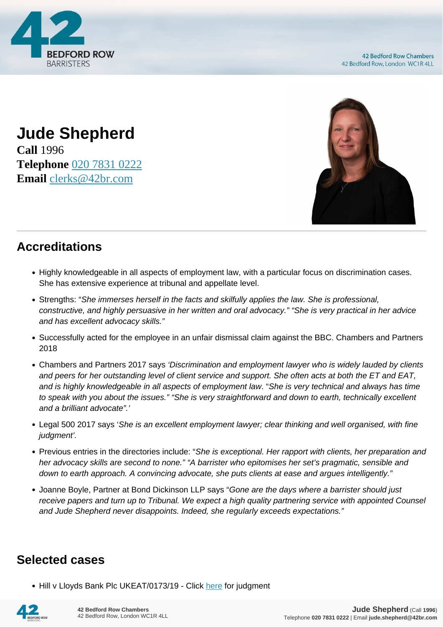

## **Jude Shepherd Call** 1996 **Telephone** [020 7831 0222](https://pdf.codeshore.co/_42br/tel:020 7831 0222) **Email** [clerks@42br.com](mailto:clerks@42br.com)



## **Accreditations**

- Highly knowledgeable in all aspects of employment law, with a particular focus on discrimination cases. She has extensive experience at tribunal and appellate level.
- Strengths: "She immerses herself in the facts and skilfully applies the law. She is professional, constructive, and highly persuasive in her written and oral advocacy." "She is very practical in her advice and has excellent advocacy skills."
- Successfully acted for the employee in an unfair dismissal claim against the BBC. Chambers and Partners 2018
- Chambers and Partners 2017 says 'Discrimination and employment lawyer who is widely lauded by clients and peers for her outstanding level of client service and support. She often acts at both the ET and EAT, and is highly knowledgeable in all aspects of employment law. "She is very technical and always has time to speak with you about the issues." "She is very straightforward and down to earth, technically excellent and a brilliant advocate".'
- Legal 500 2017 says 'She is an excellent employment lawyer; clear thinking and well organised, with fine judgment'.
- Previous entries in the directories include: "She is exceptional. Her rapport with clients, her preparation and her advocacy skills are second to none." "A barrister who epitomises her set's pragmatic, sensible and down to earth approach. A convincing advocate, she puts clients at ease and argues intelligently."
- Joanne Boyle, Partner at Bond Dickinson LLP says "Gone are the days where a barrister should just receive papers and turn up to Tribunal. We expect a high quality partnering service with appointed Counsel and Jude Shepherd never disappoints. Indeed, she regularly exceeds expectations."

## **Selected cases**

• Hill v Lloyds Bank Plc UKEAT/0173/19 - Click [here](https://assets.publishing.service.gov.uk/media/5efcc303d3bf7f768e27c64d/Mrs_S_Hill_v_Lloyds_Bank_Plc_UKEAT_0173_19_LA.pdf) for judgment